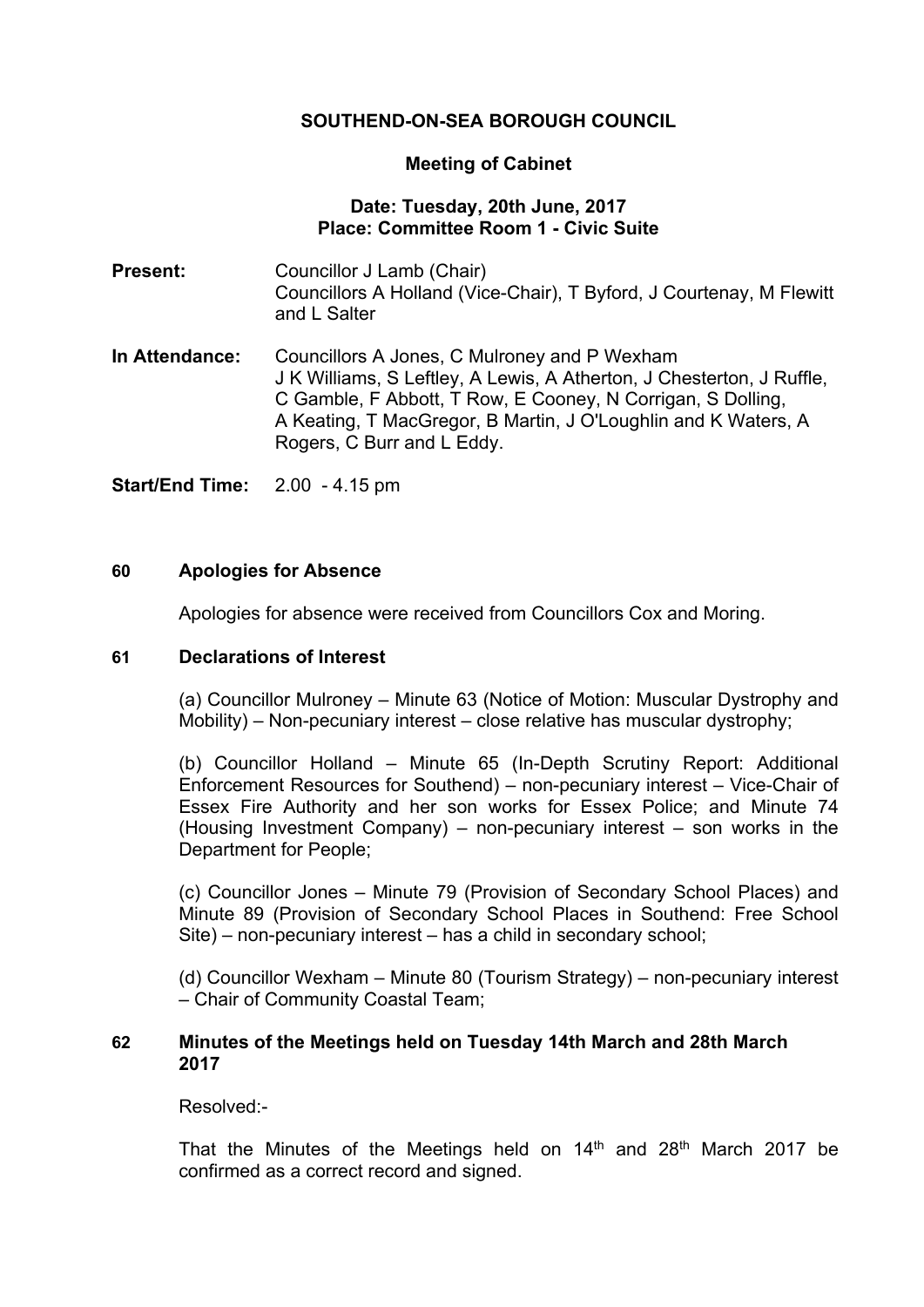# **SOUTHEND-ON-SEA BOROUGH COUNCIL**

### **Meeting of Cabinet**

# **Date: Tuesday, 20th June, 2017 Place: Committee Room 1 - Civic Suite**

**Present:** Councillor J Lamb (Chair) Councillors A Holland (Vice-Chair), T Byford, J Courtenay, M Flewitt and L Salter

**In Attendance:** Councillors A Jones, C Mulroney and P Wexham J K Williams, S Leftley, A Lewis, A Atherton, J Chesterton, J Ruffle, C Gamble, F Abbott, T Row, E Cooney, N Corrigan, S Dolling, A Keating, T MacGregor, B Martin, J O'Loughlin and K Waters, A Rogers, C Burr and L Eddy.

**Start/End Time:** 2.00 - 4.15 pm

### **60 Apologies for Absence**

Apologies for absence were received from Councillors Cox and Moring.

#### **61 Declarations of Interest**

(a) Councillor Mulroney – Minute 63 (Notice of Motion: Muscular Dystrophy and Mobility) – Non-pecuniary interest – close relative has muscular dystrophy;

(b) Councillor Holland – Minute 65 (In-Depth Scrutiny Report: Additional Enforcement Resources for Southend) – non-pecuniary interest – Vice-Chair of Essex Fire Authority and her son works for Essex Police; and Minute 74 (Housing Investment Company) – non-pecuniary interest – son works in the Department for People;

(c) Councillor Jones – Minute 79 (Provision of Secondary School Places) and Minute 89 (Provision of Secondary School Places in Southend: Free School Site) – non-pecuniary interest – has a child in secondary school;

(d) Councillor Wexham – Minute 80 (Tourism Strategy) – non-pecuniary interest – Chair of Community Coastal Team;

### **62 Minutes of the Meetings held on Tuesday 14th March and 28th March 2017**

Resolved:-

That the Minutes of the Meetings held on  $14<sup>th</sup>$  and  $28<sup>th</sup>$  March 2017 be confirmed as a correct record and signed.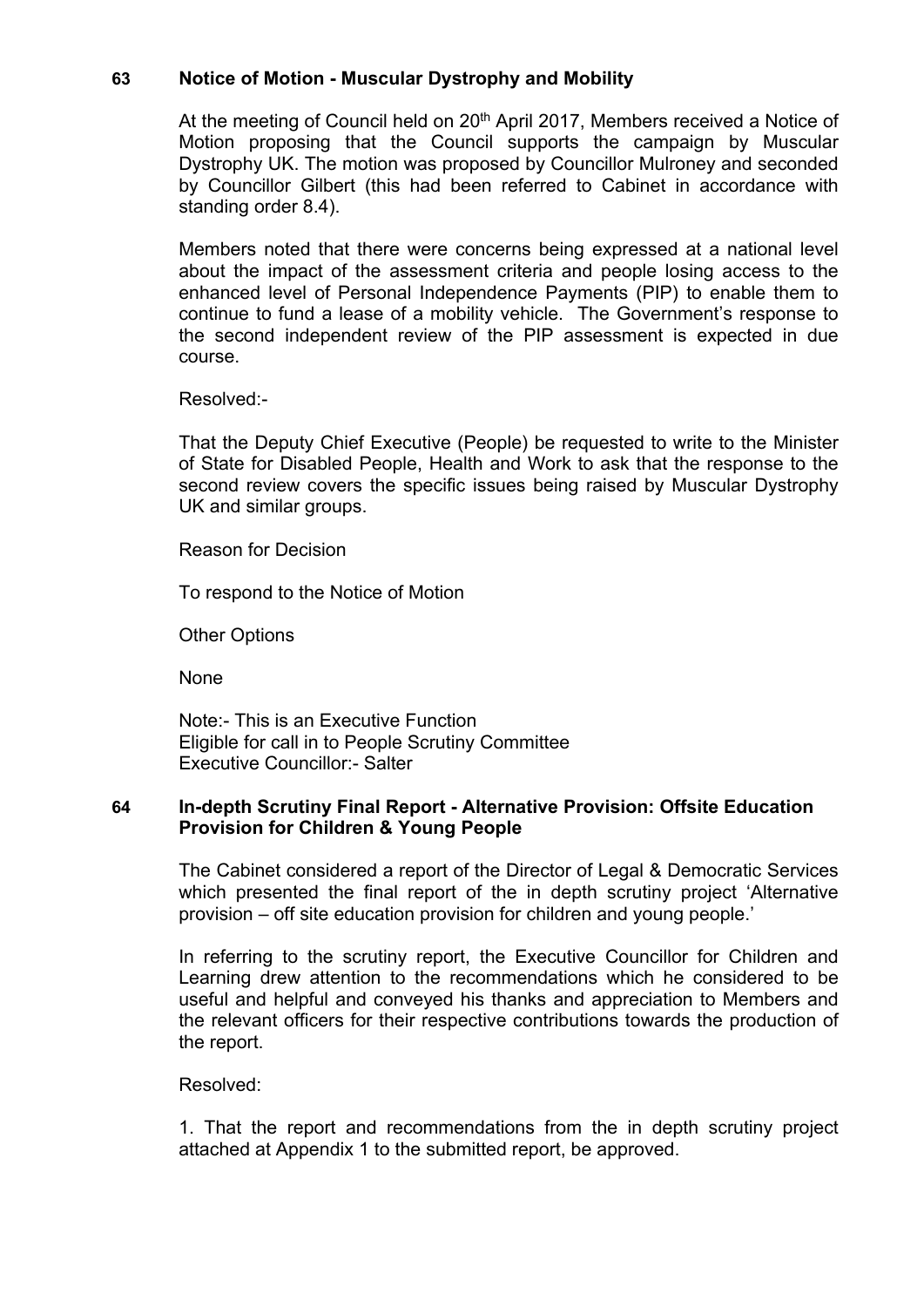# **63 Notice of Motion - Muscular Dystrophy and Mobility**

At the meeting of Council held on 20<sup>th</sup> April 2017, Members received a Notice of Motion proposing that the Council supports the campaign by Muscular Dystrophy UK. The motion was proposed by Councillor Mulroney and seconded by Councillor Gilbert (this had been referred to Cabinet in accordance with standing order 8.4).

Members noted that there were concerns being expressed at a national level about the impact of the assessment criteria and people losing access to the enhanced level of Personal Independence Payments (PIP) to enable them to continue to fund a lease of a mobility vehicle. The Government's response to the second independent review of the PIP assessment is expected in due course.

Resolved:-

That the Deputy Chief Executive (People) be requested to write to the Minister of State for Disabled People, Health and Work to ask that the response to the second review covers the specific issues being raised by Muscular Dystrophy UK and similar groups.

Reason for Decision

To respond to the Notice of Motion

Other Options

**None** 

Note:- This is an Executive Function Eligible for call in to People Scrutiny Committee Executive Councillor:- Salter

### **64 In-depth Scrutiny Final Report - Alternative Provision: Offsite Education Provision for Children & Young People**

The Cabinet considered a report of the Director of Legal & Democratic Services which presented the final report of the in depth scrutiny project 'Alternative provision – off site education provision for children and young people.'

In referring to the scrutiny report, the Executive Councillor for Children and Learning drew attention to the recommendations which he considered to be useful and helpful and conveyed his thanks and appreciation to Members and the relevant officers for their respective contributions towards the production of the report.

#### Resolved:

1. That the report and recommendations from the in depth scrutiny project attached at Appendix 1 to the submitted report, be approved.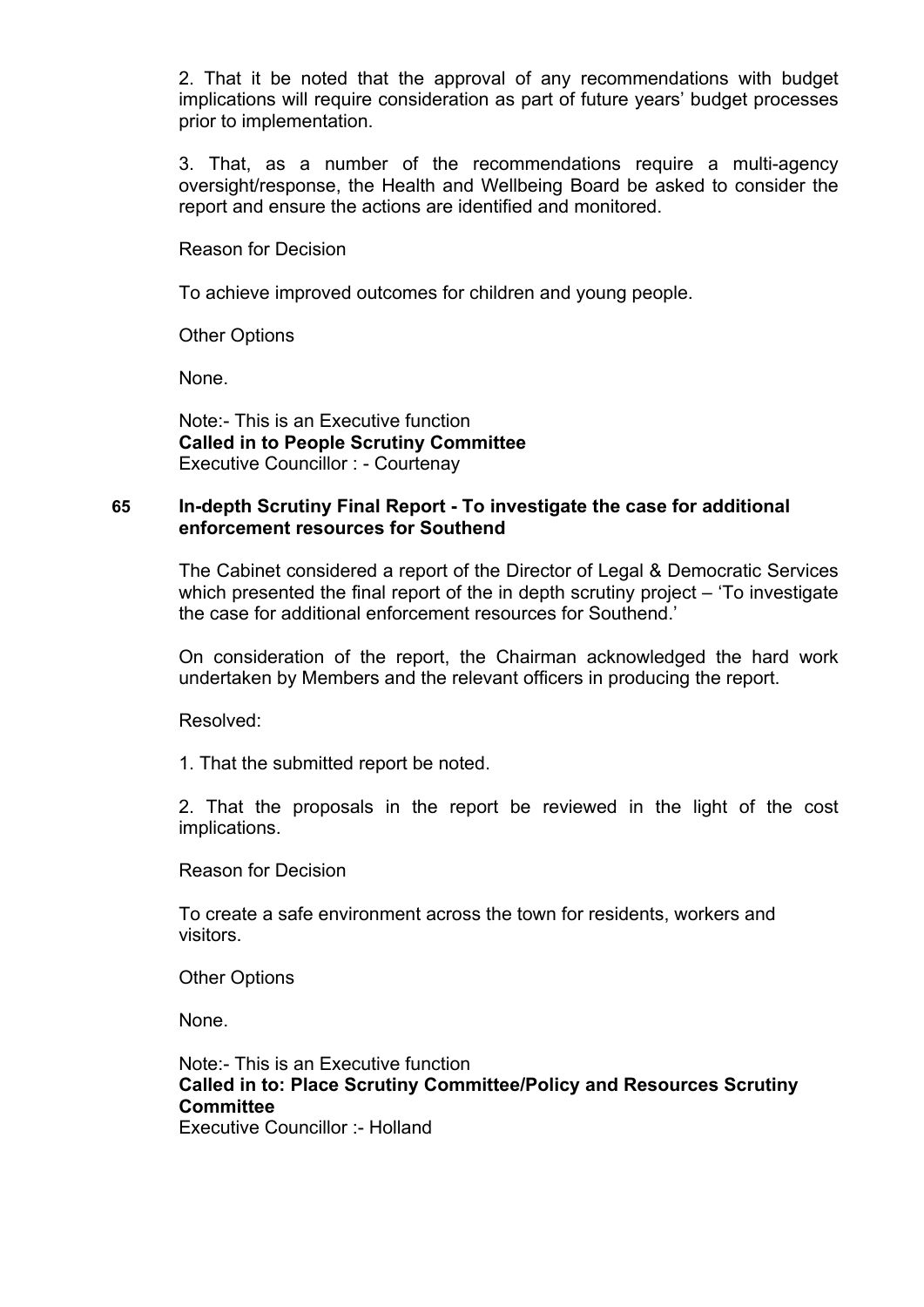2. That it be noted that the approval of any recommendations with budget implications will require consideration as part of future years' budget processes prior to implementation.

3. That, as a number of the recommendations require a multi-agency oversight/response, the Health and Wellbeing Board be asked to consider the report and ensure the actions are identified and monitored.

Reason for Decision

To achieve improved outcomes for children and young people.

Other Options

None.

Note:- This is an Executive function **Called in to People Scrutiny Committee** Executive Councillor : - Courtenay

## **65 In-depth Scrutiny Final Report - To investigate the case for additional enforcement resources for Southend**

The Cabinet considered a report of the Director of Legal & Democratic Services which presented the final report of the in depth scrutiny project – 'To investigate the case for additional enforcement resources for Southend.'

On consideration of the report, the Chairman acknowledged the hard work undertaken by Members and the relevant officers in producing the report.

Resolved:

1. That the submitted report be noted.

2. That the proposals in the report be reviewed in the light of the cost implications.

Reason for Decision

To create a safe environment across the town for residents, workers and visitors.

Other Options

None.

Note:- This is an Executive function **Called in to: Place Scrutiny Committee/Policy and Resources Scrutiny Committee** Executive Councillor :- Holland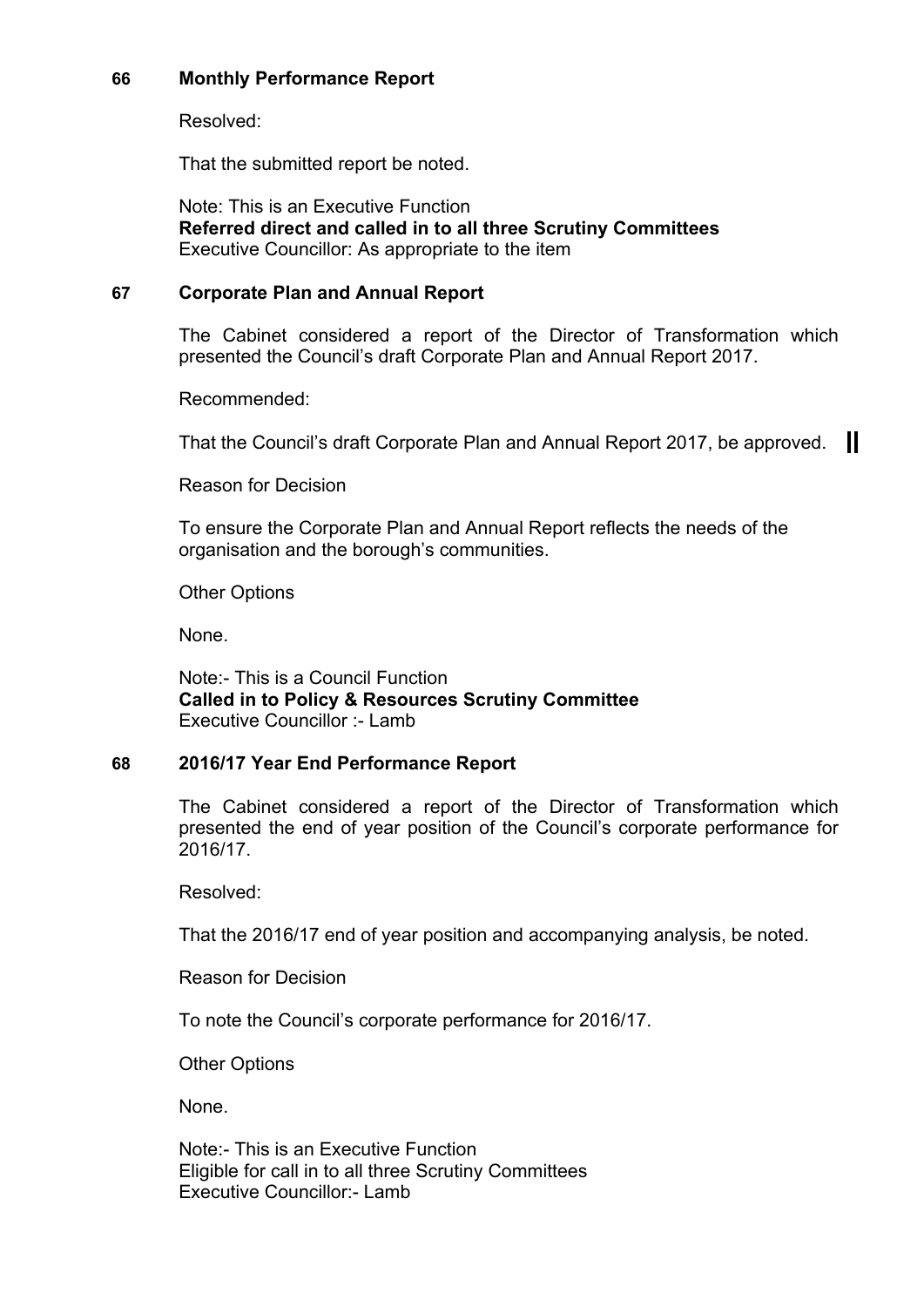# **66 Monthly Performance Report**

Resolved:

That the submitted report be noted.

Note: This is an Executive Function **Referred direct and called in to all three Scrutiny Committees** Executive Councillor: As appropriate to the item

# **67 Corporate Plan and Annual Report**

The Cabinet considered a report of the Director of Transformation which presented the Council's draft Corporate Plan and Annual Report 2017.

Recommended:

That the Council's draft Corporate Plan and Annual Report 2017, be approved.

Reason for Decision

To ensure the Corporate Plan and Annual Report reflects the needs of the organisation and the borough's communities.

Other Options

None.

Note:- This is a Council Function **Called in to Policy & Resources Scrutiny Committee** Executive Councillor :- Lamb

## **68 2016/17 Year End Performance Report**

The Cabinet considered a report of the Director of Transformation which presented the end of year position of the Council's corporate performance for 2016/17.

Resolved:

That the 2016/17 end of year position and accompanying analysis, be noted.

Reason for Decision

To note the Council's corporate performance for 2016/17.

Other Options

None.

Note:- This is an Executive Function Eligible for call in to all three Scrutiny Committees Executive Councillor:- Lamb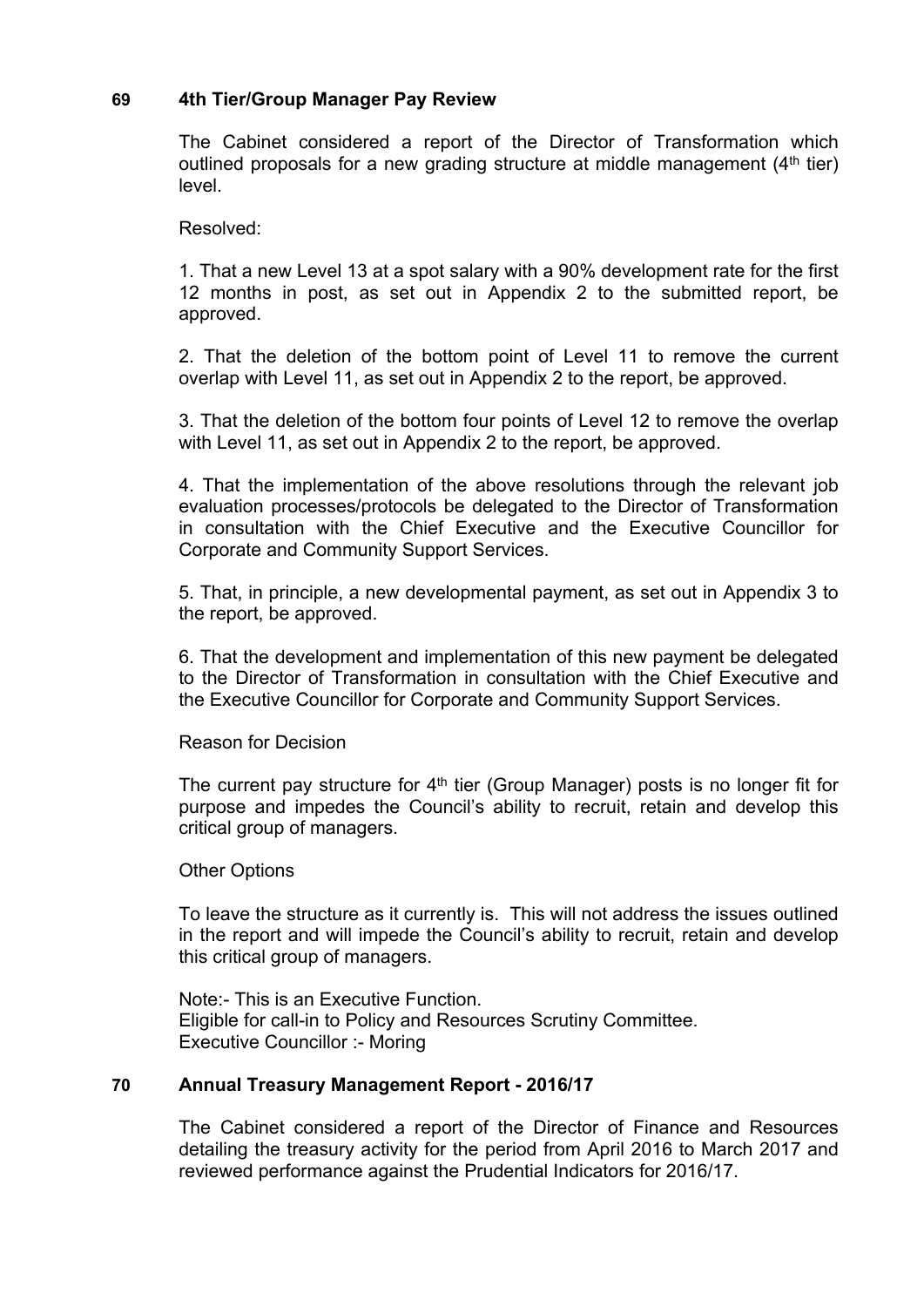## **69 4th Tier/Group Manager Pay Review**

The Cabinet considered a report of the Director of Transformation which outlined proposals for a new grading structure at middle management  $(4<sup>th</sup>$  tier) level.

Resolved:

1. That a new Level 13 at a spot salary with a 90% development rate for the first 12 months in post, as set out in Appendix 2 to the submitted report, be approved.

2. That the deletion of the bottom point of Level 11 to remove the current overlap with Level 11, as set out in Appendix 2 to the report, be approved.

3. That the deletion of the bottom four points of Level 12 to remove the overlap with Level 11, as set out in Appendix 2 to the report, be approved.

4. That the implementation of the above resolutions through the relevant job evaluation processes/protocols be delegated to the Director of Transformation in consultation with the Chief Executive and the Executive Councillor for Corporate and Community Support Services.

5. That, in principle, a new developmental payment, as set out in Appendix 3 to the report, be approved.

6. That the development and implementation of this new payment be delegated to the Director of Transformation in consultation with the Chief Executive and the Executive Councillor for Corporate and Community Support Services.

Reason for Decision

The current pay structure for 4<sup>th</sup> tier (Group Manager) posts is no longer fit for purpose and impedes the Council's ability to recruit, retain and develop this critical group of managers.

Other Options

To leave the structure as it currently is. This will not address the issues outlined in the report and will impede the Council's ability to recruit, retain and develop this critical group of managers.

Note:- This is an Executive Function. Eligible for call-in to Policy and Resources Scrutiny Committee. Executive Councillor :- Moring

#### **70 Annual Treasury Management Report - 2016/17**

The Cabinet considered a report of the Director of Finance and Resources detailing the treasury activity for the period from April 2016 to March 2017 and reviewed performance against the Prudential Indicators for 2016/17.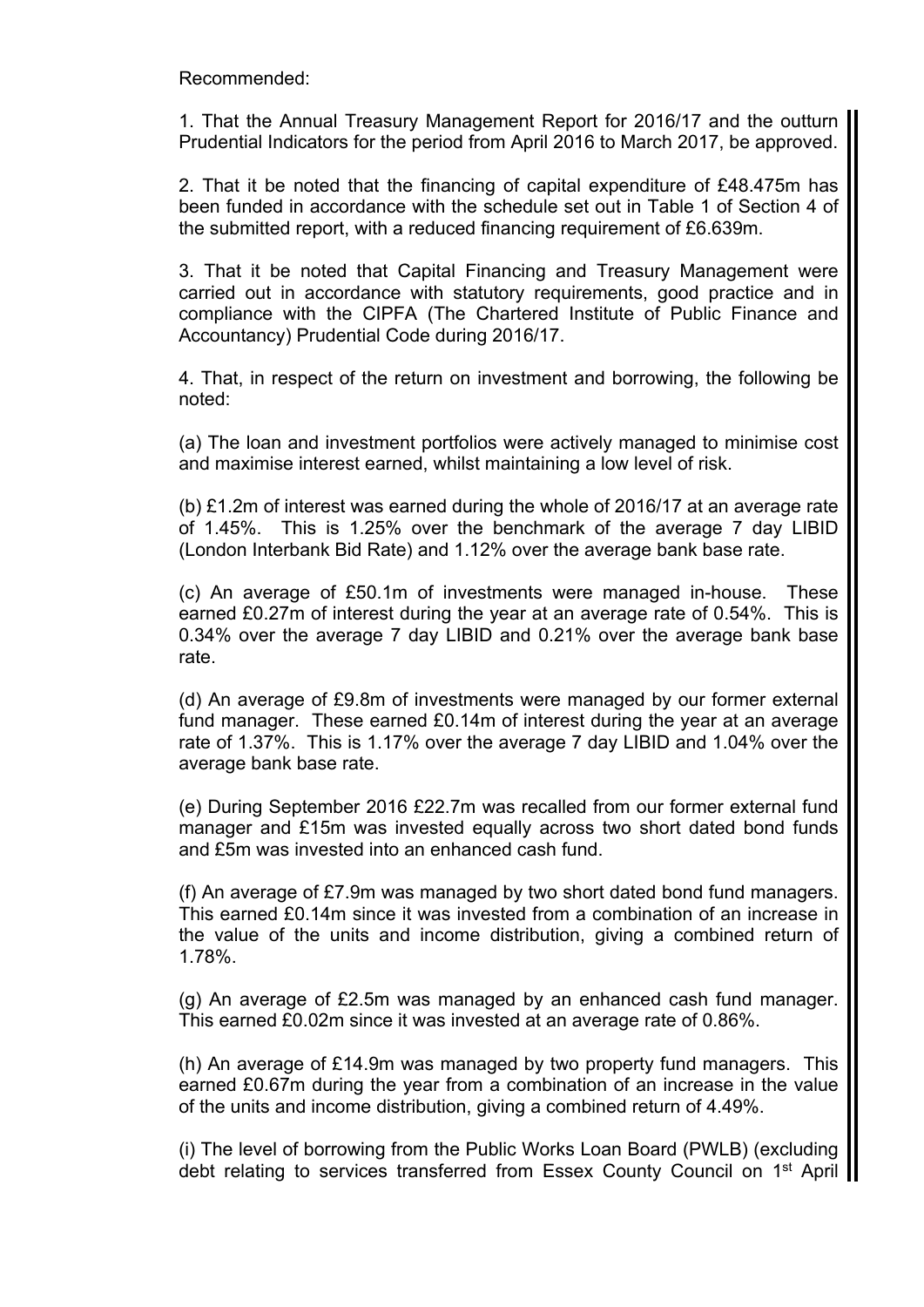Recommended:

1. That the Annual Treasury Management Report for 2016/17 and the outturn Prudential Indicators for the period from April 2016 to March 2017, be approved.

2. That it be noted that the financing of capital expenditure of £48.475m has been funded in accordance with the schedule set out in Table 1 of Section 4 of the submitted report, with a reduced financing requirement of £6.639m.

3. That it be noted that Capital Financing and Treasury Management were carried out in accordance with statutory requirements, good practice and in compliance with the CIPFA (The Chartered Institute of Public Finance and Accountancy) Prudential Code during 2016/17.

4. That, in respect of the return on investment and borrowing, the following be noted:

(a) The loan and investment portfolios were actively managed to minimise cost and maximise interest earned, whilst maintaining a low level of risk.

(b) £1.2m of interest was earned during the whole of 2016/17 at an average rate of 1.45%. This is 1.25% over the benchmark of the average 7 day LIBID (London Interbank Bid Rate) and 1.12% over the average bank base rate.

(c) An average of £50.1m of investments were managed in-house. These earned £0.27m of interest during the year at an average rate of 0.54%. This is 0.34% over the average 7 day LIBID and 0.21% over the average bank base rate.

(d) An average of £9.8m of investments were managed by our former external fund manager. These earned £0.14m of interest during the year at an average rate of 1.37%. This is 1.17% over the average 7 day LIBID and 1.04% over the average bank base rate.

(e) During September 2016 £22.7m was recalled from our former external fund manager and £15m was invested equally across two short dated bond funds and £5m was invested into an enhanced cash fund.

(f) An average of £7.9m was managed by two short dated bond fund managers. This earned £0.14m since it was invested from a combination of an increase in the value of the units and income distribution, giving a combined return of 1.78%.

(g) An average of £2.5m was managed by an enhanced cash fund manager. This earned £0.02m since it was invested at an average rate of 0.86%.

(h) An average of £14.9m was managed by two property fund managers. This earned £0.67m during the year from a combination of an increase in the value of the units and income distribution, giving a combined return of 4.49%.

(i) The level of borrowing from the Public Works Loan Board (PWLB) (excluding debt relating to services transferred from Essex County Council on 1<sup>st</sup> April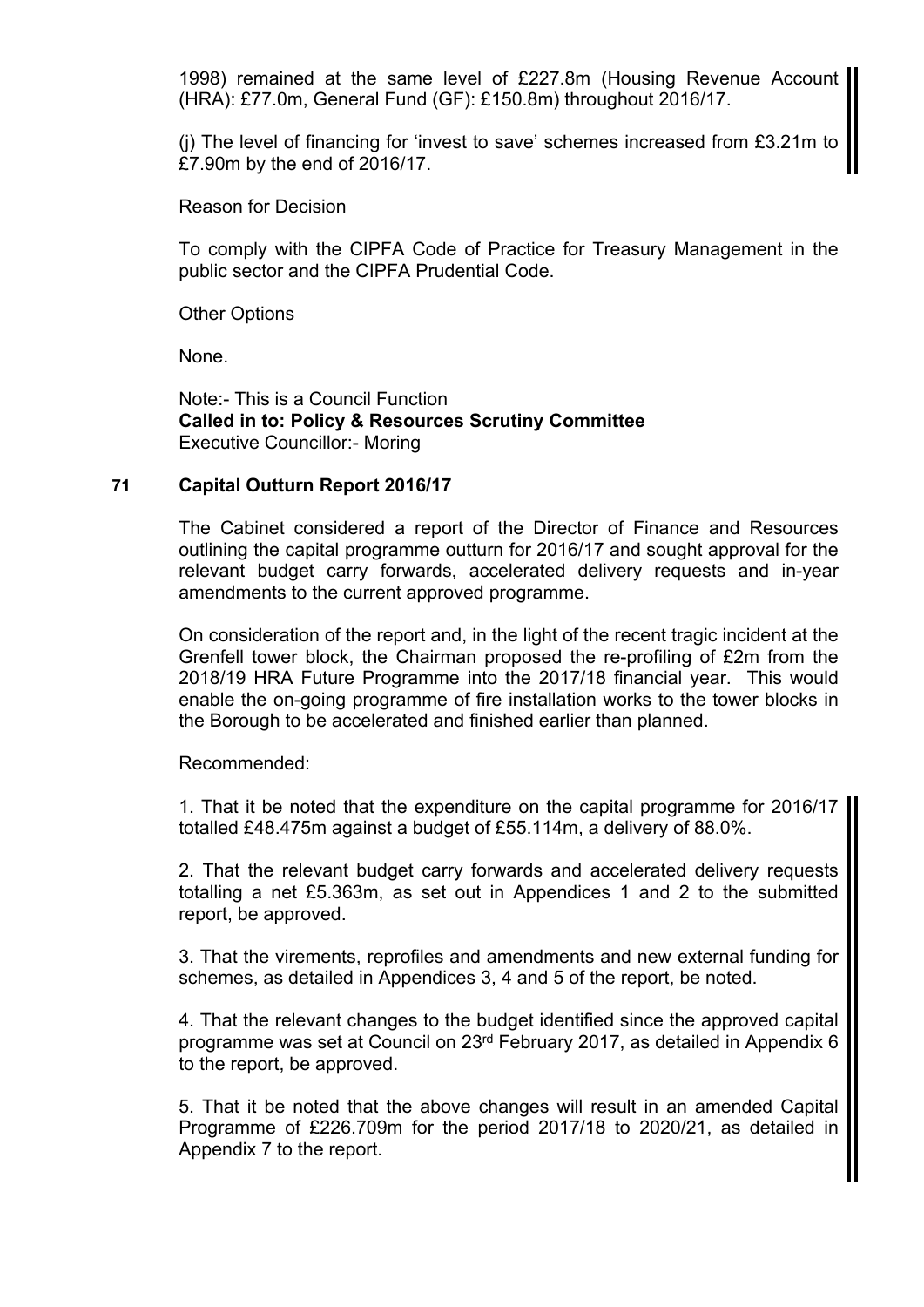1998) remained at the same level of £227.8m (Housing Revenue Account (HRA): £77.0m, General Fund (GF): £150.8m) throughout 2016/17.

(j) The level of financing for 'invest to save' schemes increased from £3.21m to £7.90m by the end of 2016/17.

Reason for Decision

To comply with the CIPFA Code of Practice for Treasury Management in the public sector and the CIPFA Prudential Code.

Other Options

None.

Note:- This is a Council Function **Called in to: Policy & Resources Scrutiny Committee** Executive Councillor:- Moring

## **71 Capital Outturn Report 2016/17**

The Cabinet considered a report of the Director of Finance and Resources outlining the capital programme outturn for 2016/17 and sought approval for the relevant budget carry forwards, accelerated delivery requests and in-year amendments to the current approved programme.

On consideration of the report and, in the light of the recent tragic incident at the Grenfell tower block, the Chairman proposed the re-profiling of £2m from the 2018/19 HRA Future Programme into the 2017/18 financial year. This would enable the on-going programme of fire installation works to the tower blocks in the Borough to be accelerated and finished earlier than planned.

Recommended:

1. That it be noted that the expenditure on the capital programme for 2016/17 totalled £48.475m against a budget of £55.114m, a delivery of 88.0%.

2. That the relevant budget carry forwards and accelerated delivery requests totalling a net £5.363m, as set out in Appendices 1 and 2 to the submitted report, be approved.

3. That the virements, reprofiles and amendments and new external funding for schemes, as detailed in Appendices 3, 4 and 5 of the report, be noted.

4. That the relevant changes to the budget identified since the approved capital programme was set at Council on 23rd February 2017, as detailed in Appendix 6 to the report, be approved.

5. That it be noted that the above changes will result in an amended Capital Programme of £226.709m for the period 2017/18 to 2020/21, as detailed in Appendix 7 to the report.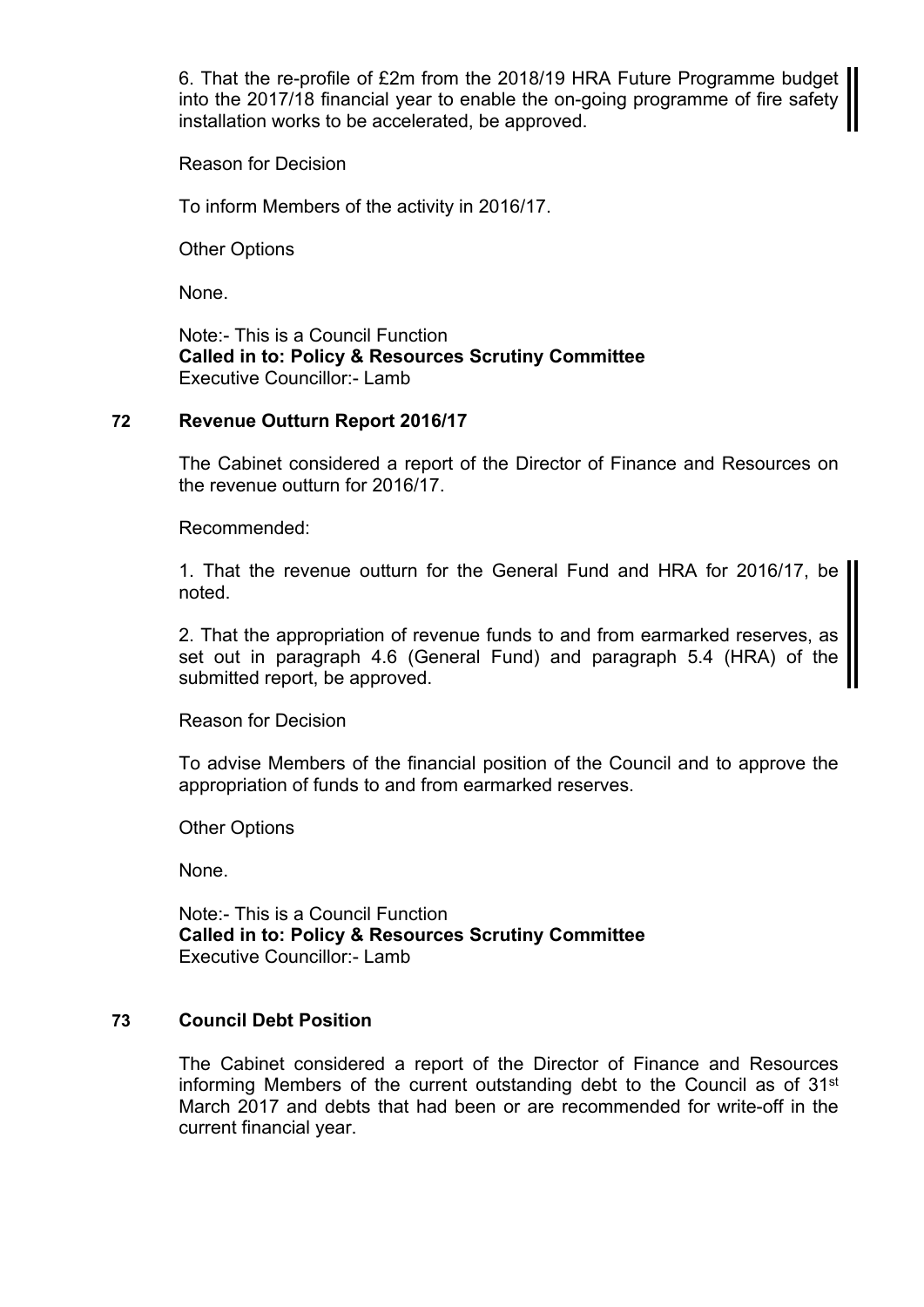6. That the re-profile of £2m from the 2018/19 HRA Future Programme budget into the 2017/18 financial year to enable the on-going programme of fire safety installation works to be accelerated, be approved.

Reason for Decision

To inform Members of the activity in 2016/17.

Other Options

None.

Note:- This is a Council Function **Called in to: Policy & Resources Scrutiny Committee** Executive Councillor:- Lamb

### **72 Revenue Outturn Report 2016/17**

The Cabinet considered a report of the Director of Finance and Resources on the revenue outturn for 2016/17.

Recommended:

1. That the revenue outturn for the General Fund and HRA for 2016/17, be noted.

2. That the appropriation of revenue funds to and from earmarked reserves, as set out in paragraph 4.6 (General Fund) and paragraph 5.4 (HRA) of the submitted report, be approved.

Reason for Decision

To advise Members of the financial position of the Council and to approve the appropriation of funds to and from earmarked reserves.

Other Options

None.

Note:- This is a Council Function **Called in to: Policy & Resources Scrutiny Committee** Executive Councillor:- Lamb

## **73 Council Debt Position**

The Cabinet considered a report of the Director of Finance and Resources informing Members of the current outstanding debt to the Council as of 31st March 2017 and debts that had been or are recommended for write-off in the current financial year.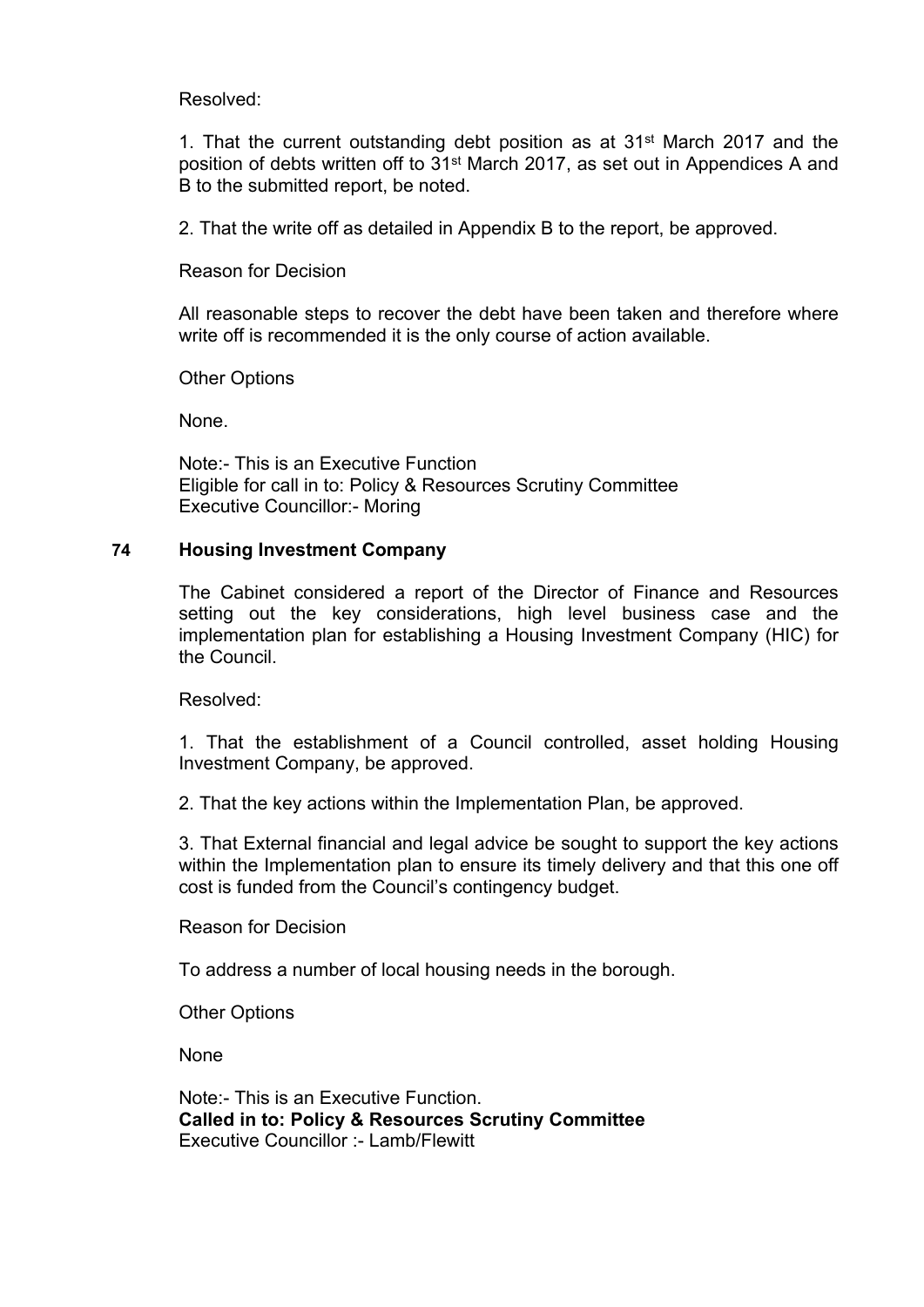Resolved:

1. That the current outstanding debt position as at 31st March 2017 and the position of debts written off to 31st March 2017, as set out in Appendices A and B to the submitted report, be noted.

2. That the write off as detailed in Appendix B to the report, be approved.

Reason for Decision

All reasonable steps to recover the debt have been taken and therefore where write off is recommended it is the only course of action available.

Other Options

None.

Note:- This is an Executive Function Eligible for call in to: Policy & Resources Scrutiny Committee Executive Councillor:- Moring

## **74 Housing Investment Company**

The Cabinet considered a report of the Director of Finance and Resources setting out the key considerations, high level business case and the implementation plan for establishing a Housing Investment Company (HIC) for the Council.

Resolved:

1. That the establishment of a Council controlled, asset holding Housing Investment Company, be approved.

2. That the key actions within the Implementation Plan, be approved.

3. That External financial and legal advice be sought to support the key actions within the Implementation plan to ensure its timely delivery and that this one off cost is funded from the Council's contingency budget.

Reason for Decision

To address a number of local housing needs in the borough.

Other Options

None

Note:- This is an Executive Function. **Called in to: Policy & Resources Scrutiny Committee** Executive Councillor :- Lamb/Flewitt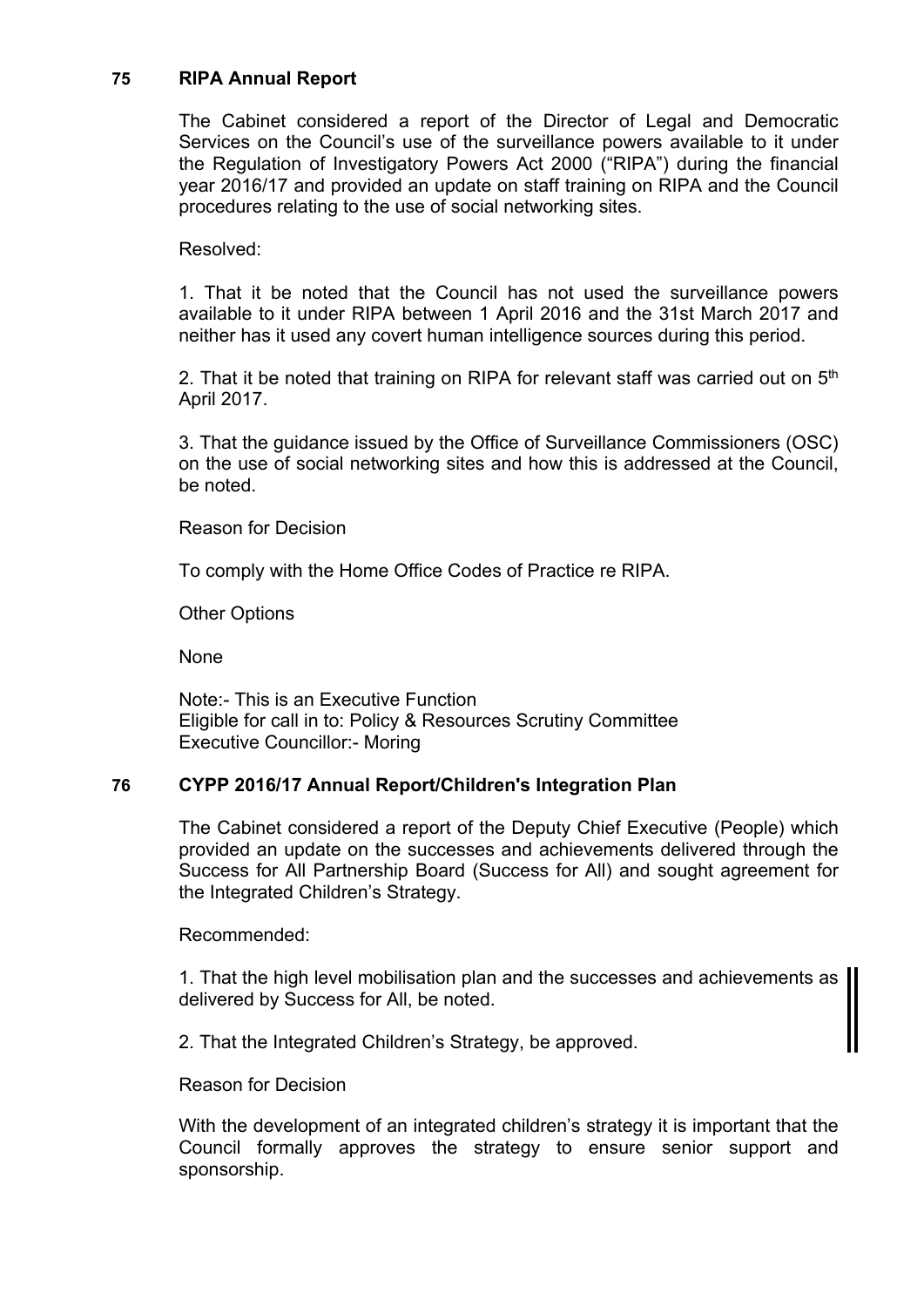### **75 RIPA Annual Report**

The Cabinet considered a report of the Director of Legal and Democratic Services on the Council's use of the surveillance powers available to it under the Regulation of Investigatory Powers Act 2000 ("RIPA") during the financial year 2016/17 and provided an update on staff training on RIPA and the Council procedures relating to the use of social networking sites.

#### Resolved:

1. That it be noted that the Council has not used the surveillance powers available to it under RIPA between 1 April 2016 and the 31st March 2017 and neither has it used any covert human intelligence sources during this period.

2. That it be noted that training on RIPA for relevant staff was carried out on 5<sup>th</sup> April 2017.

3. That the guidance issued by the Office of Surveillance Commissioners (OSC) on the use of social networking sites and how this is addressed at the Council, be noted.

Reason for Decision

To comply with the Home Office Codes of Practice re RIPA.

Other Options

None

Note:- This is an Executive Function Eligible for call in to: Policy & Resources Scrutiny Committee Executive Councillor:- Moring

## **76 CYPP 2016/17 Annual Report/Children's Integration Plan**

The Cabinet considered a report of the Deputy Chief Executive (People) which provided an update on the successes and achievements delivered through the Success for All Partnership Board (Success for All) and sought agreement for the Integrated Children's Strategy.

Recommended:

1. That the high level mobilisation plan and the successes and achievements as delivered by Success for All, be noted.

2. That the Integrated Children's Strategy, be approved.

Reason for Decision

With the development of an integrated children's strategy it is important that the Council formally approves the strategy to ensure senior support and sponsorship.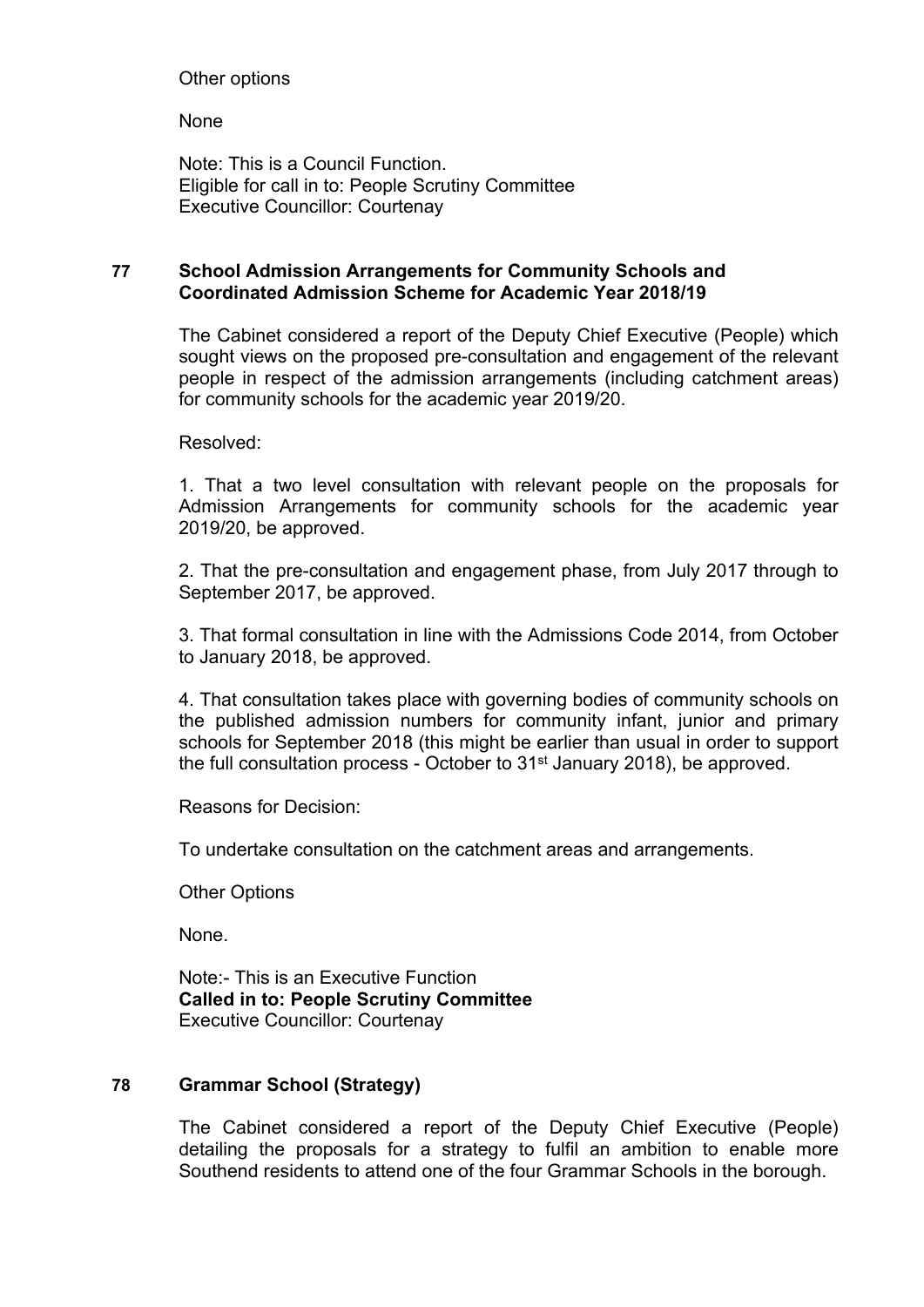# Other options

None

Note: This is a Council Function. Eligible for call in to: People Scrutiny Committee Executive Councillor: Courtenay

# **77 School Admission Arrangements for Community Schools and Coordinated Admission Scheme for Academic Year 2018/19**

The Cabinet considered a report of the Deputy Chief Executive (People) which sought views on the proposed pre-consultation and engagement of the relevant people in respect of the admission arrangements (including catchment areas) for community schools for the academic year 2019/20.

Resolved:

1. That a two level consultation with relevant people on the proposals for Admission Arrangements for community schools for the academic year 2019/20, be approved.

2. That the pre-consultation and engagement phase, from July 2017 through to September 2017, be approved.

3. That formal consultation in line with the Admissions Code 2014, from October to January 2018, be approved.

4. That consultation takes place with governing bodies of community schools on the published admission numbers for community infant, junior and primary schools for September 2018 (this might be earlier than usual in order to support the full consultation process - October to 31<sup>st</sup> January 2018), be approved.

Reasons for Decision:

To undertake consultation on the catchment areas and arrangements.

Other Options

None.

Note:- This is an Executive Function **Called in to: People Scrutiny Committee** Executive Councillor: Courtenay

## **78 Grammar School (Strategy)**

The Cabinet considered a report of the Deputy Chief Executive (People) detailing the proposals for a strategy to fulfil an ambition to enable more Southend residents to attend one of the four Grammar Schools in the borough.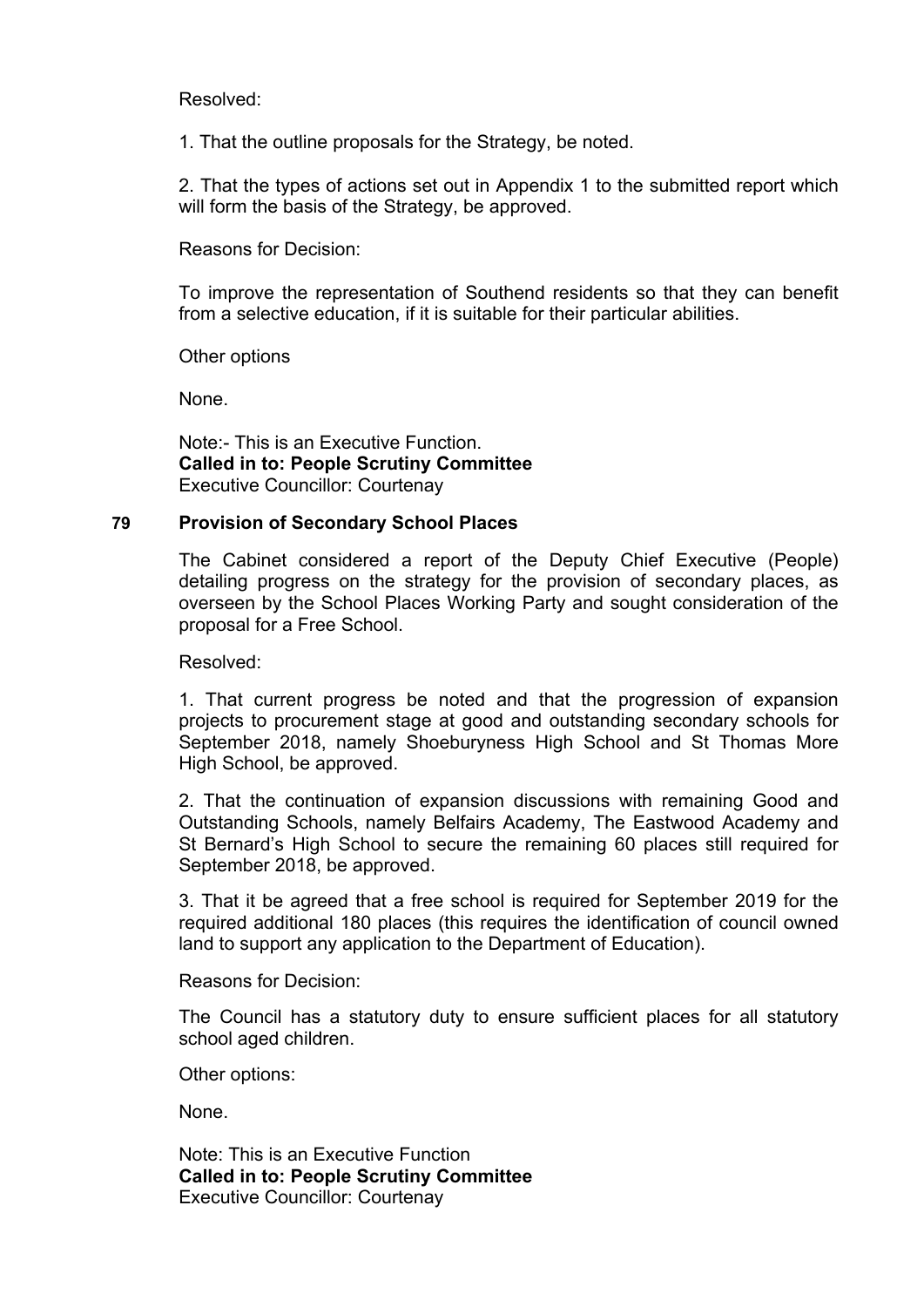Resolved:

1. That the outline proposals for the Strategy, be noted.

2. That the types of actions set out in Appendix 1 to the submitted report which will form the basis of the Strategy, be approved.

Reasons for Decision:

To improve the representation of Southend residents so that they can benefit from a selective education, if it is suitable for their particular abilities.

Other options

None.

Note:- This is an Executive Function. **Called in to: People Scrutiny Committee** Executive Councillor: Courtenay

### **79 Provision of Secondary School Places**

The Cabinet considered a report of the Deputy Chief Executive (People) detailing progress on the strategy for the provision of secondary places, as overseen by the School Places Working Party and sought consideration of the proposal for a Free School.

Resolved:

1. That current progress be noted and that the progression of expansion projects to procurement stage at good and outstanding secondary schools for September 2018, namely Shoeburyness High School and St Thomas More High School, be approved.

2. That the continuation of expansion discussions with remaining Good and Outstanding Schools, namely Belfairs Academy, The Eastwood Academy and St Bernard's High School to secure the remaining 60 places still required for September 2018, be approved.

3. That it be agreed that a free school is required for September 2019 for the required additional 180 places (this requires the identification of council owned land to support any application to the Department of Education).

Reasons for Decision:

The Council has a statutory duty to ensure sufficient places for all statutory school aged children.

Other options:

None.

Note: This is an Executive Function **Called in to: People Scrutiny Committee** Executive Councillor: Courtenay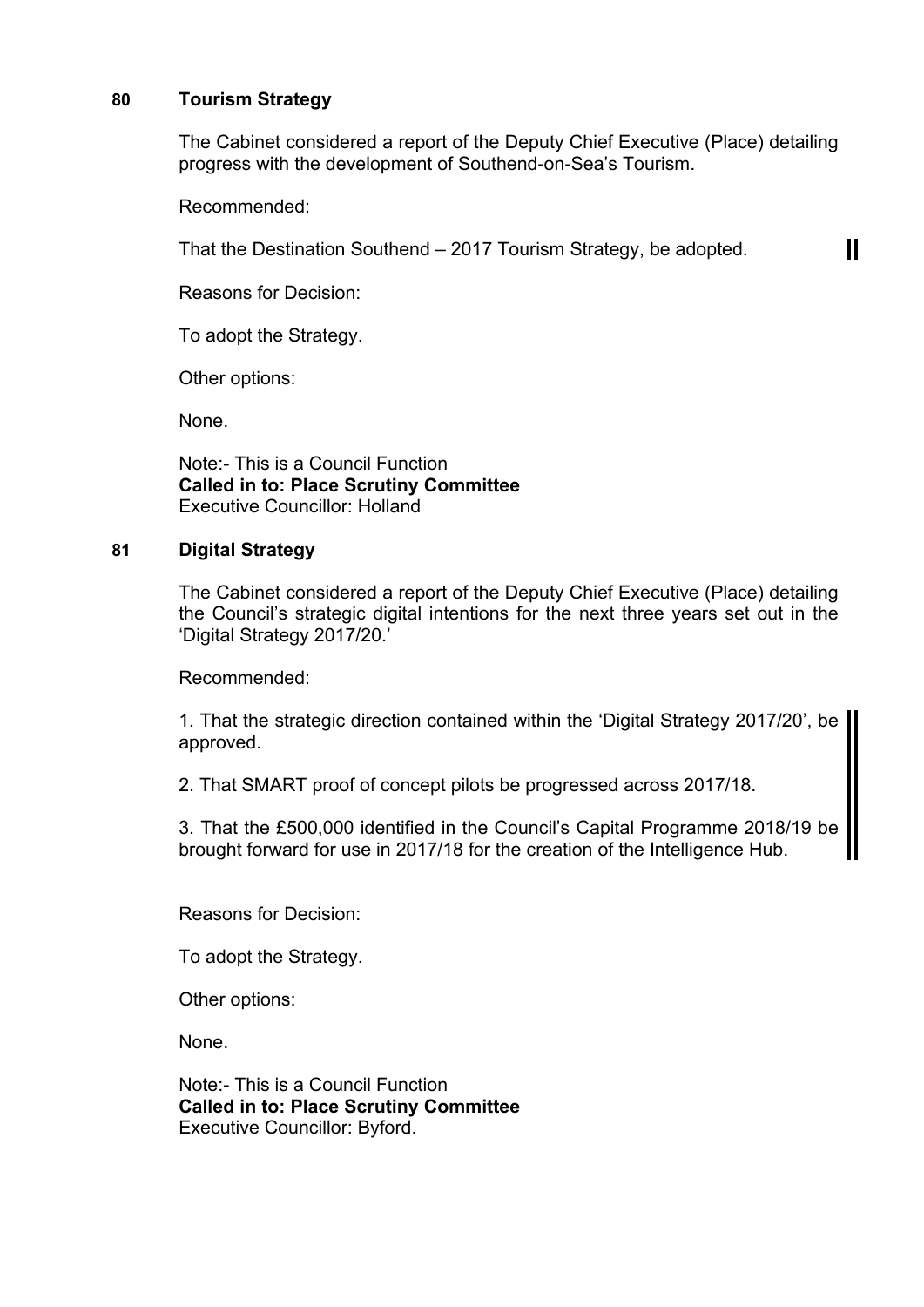### **80 Tourism Strategy**

The Cabinet considered a report of the Deputy Chief Executive (Place) detailing progress with the development of Southend-on-Sea's Tourism.

 $\mathbf{\mathbf{\mathsf{II}}}$ 

Recommended:

That the Destination Southend – 2017 Tourism Strategy, be adopted.

Reasons for Decision:

To adopt the Strategy.

Other options:

None.

Note:- This is a Council Function **Called in to: Place Scrutiny Committee** Executive Councillor: Holland

# **81 Digital Strategy**

The Cabinet considered a report of the Deputy Chief Executive (Place) detailing the Council's strategic digital intentions for the next three years set out in the 'Digital Strategy 2017/20.'

Recommended:

1. That the strategic direction contained within the 'Digital Strategy 2017/20', be approved.

2. That SMART proof of concept pilots be progressed across 2017/18.

3. That the £500,000 identified in the Council's Capital Programme 2018/19 be brought forward for use in 2017/18 for the creation of the Intelligence Hub.

Reasons for Decision:

To adopt the Strategy.

Other options:

None.

Note:- This is a Council Function **Called in to: Place Scrutiny Committee** Executive Councillor: Byford.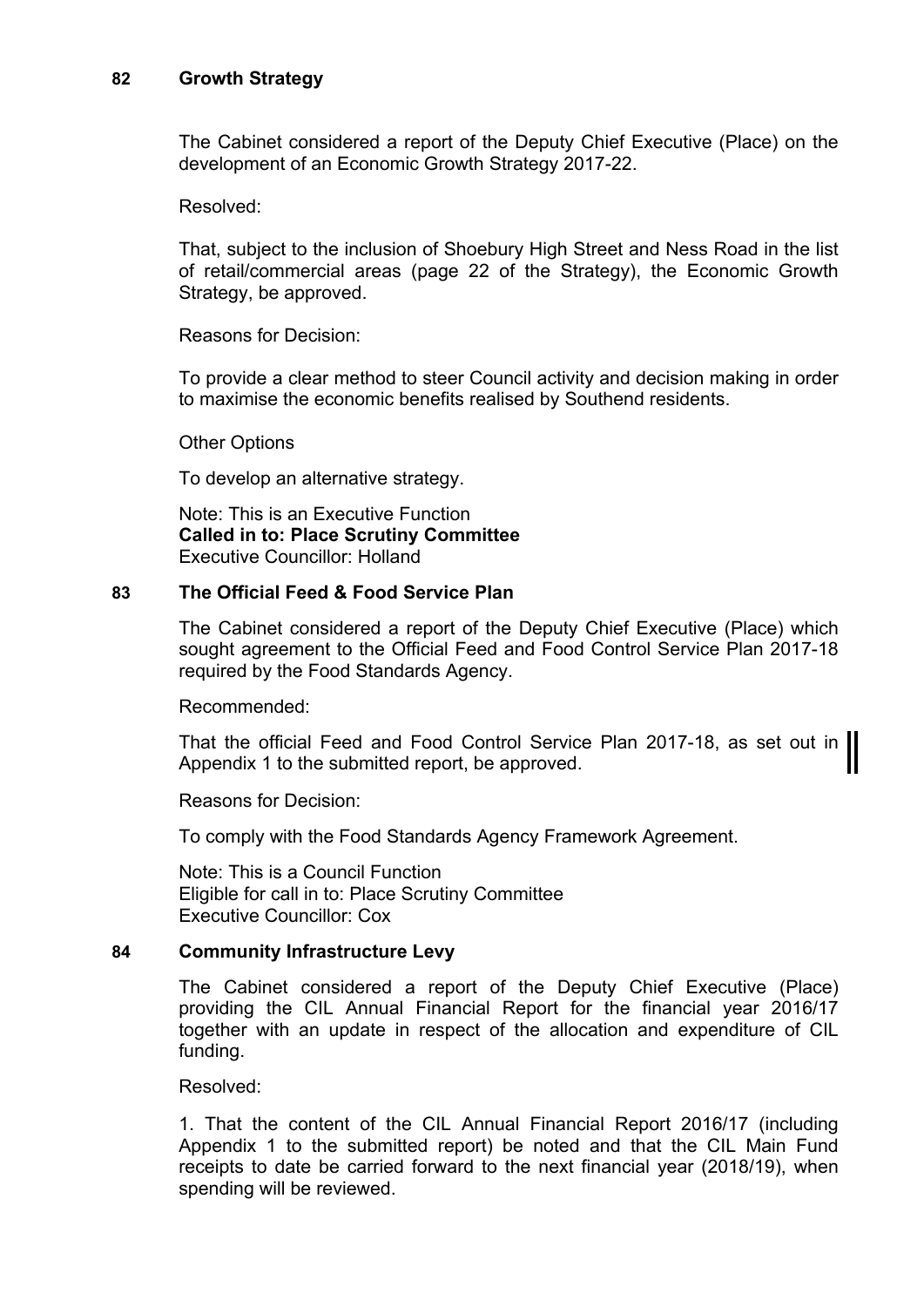# **82 Growth Strategy**

The Cabinet considered a report of the Deputy Chief Executive (Place) on the development of an Economic Growth Strategy 2017-22.

Resolved:

That, subject to the inclusion of Shoebury High Street and Ness Road in the list of retail/commercial areas (page 22 of the Strategy), the Economic Growth Strategy, be approved.

Reasons for Decision:

To provide a clear method to steer Council activity and decision making in order to maximise the economic benefits realised by Southend residents.

Other Options

To develop an alternative strategy.

Note: This is an Executive Function **Called in to: Place Scrutiny Committee** Executive Councillor: Holland

## **83 The Official Feed & Food Service Plan**

The Cabinet considered a report of the Deputy Chief Executive (Place) which sought agreement to the Official Feed and Food Control Service Plan 2017-18 required by the Food Standards Agency.

Recommended:

That the official Feed and Food Control Service Plan 2017-18, as set out in Appendix 1 to the submitted report, be approved.

Reasons for Decision:

To comply with the Food Standards Agency Framework Agreement.

Note: This is a Council Function Eligible for call in to: Place Scrutiny Committee Executive Councillor: Cox

## **84 Community Infrastructure Levy**

The Cabinet considered a report of the Deputy Chief Executive (Place) providing the CIL Annual Financial Report for the financial year 2016/17 together with an update in respect of the allocation and expenditure of CIL funding.

Resolved:

1. That the content of the CIL Annual Financial Report 2016/17 (including Appendix 1 to the submitted report) be noted and that the CIL Main Fund receipts to date be carried forward to the next financial year (2018/19), when spending will be reviewed.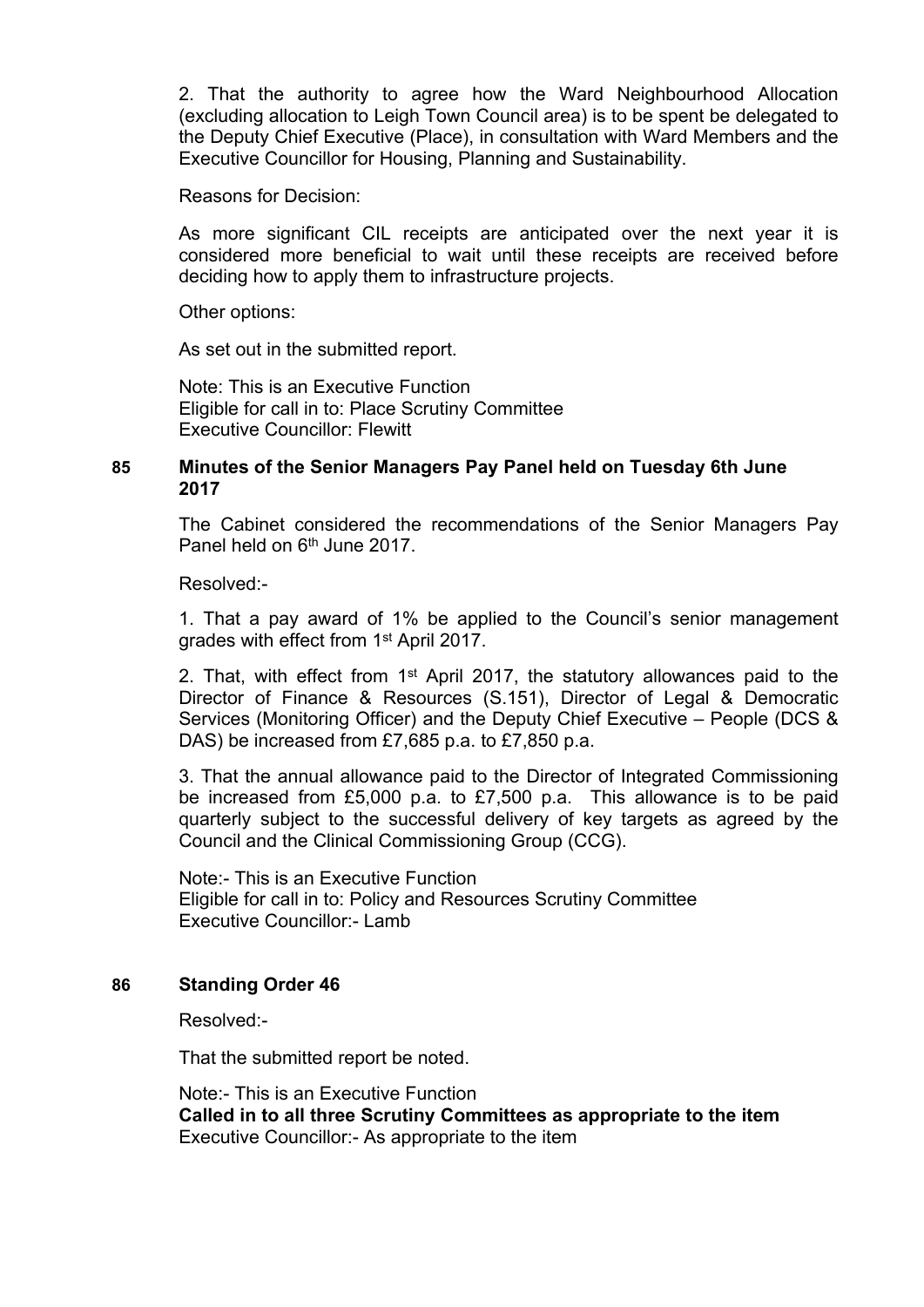2. That the authority to agree how the Ward Neighbourhood Allocation (excluding allocation to Leigh Town Council area) is to be spent be delegated to the Deputy Chief Executive (Place), in consultation with Ward Members and the Executive Councillor for Housing, Planning and Sustainability.

Reasons for Decision:

As more significant CIL receipts are anticipated over the next year it is considered more beneficial to wait until these receipts are received before deciding how to apply them to infrastructure projects.

Other options:

As set out in the submitted report.

Note: This is an Executive Function Eligible for call in to: Place Scrutiny Committee Executive Councillor: Flewitt

## **85 Minutes of the Senior Managers Pay Panel held on Tuesday 6th June 2017**

The Cabinet considered the recommendations of the Senior Managers Pay Panel held on 6<sup>th</sup> June 2017.

Resolved:-

1. That a pay award of 1% be applied to the Council's senior management grades with effect from 1<sup>st</sup> April 2017.

2. That, with effect from 1<sup>st</sup> April 2017, the statutory allowances paid to the Director of Finance & Resources (S.151), Director of Legal & Democratic Services (Monitoring Officer) and the Deputy Chief Executive – People (DCS & DAS) be increased from £7,685 p.a. to £7,850 p.a.

3. That the annual allowance paid to the Director of Integrated Commissioning be increased from £5,000 p.a. to £7,500 p.a. This allowance is to be paid quarterly subject to the successful delivery of key targets as agreed by the Council and the Clinical Commissioning Group (CCG).

Note:- This is an Executive Function Eligible for call in to: Policy and Resources Scrutiny Committee Executive Councillor:- Lamb

## **86 Standing Order 46**

Resolved:-

That the submitted report be noted.

Note:- This is an Executive Function **Called in to all three Scrutiny Committees as appropriate to the item** Executive Councillor:- As appropriate to the item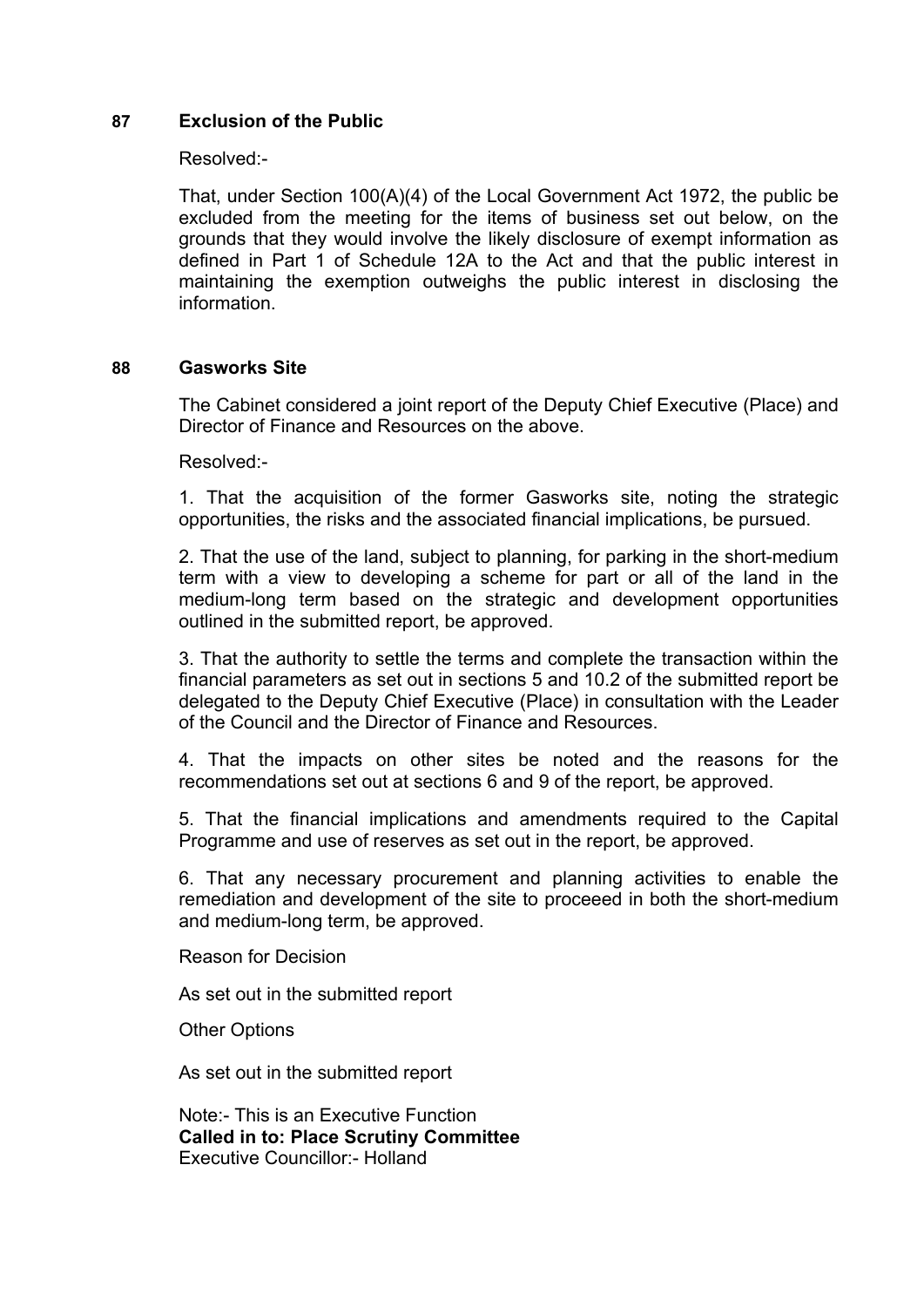### **87 Exclusion of the Public**

#### Resolved:-

That, under Section 100(A)(4) of the Local Government Act 1972, the public be excluded from the meeting for the items of business set out below, on the grounds that they would involve the likely disclosure of exempt information as defined in Part 1 of Schedule 12A to the Act and that the public interest in maintaining the exemption outweighs the public interest in disclosing the information.

#### **88 Gasworks Site**

The Cabinet considered a joint report of the Deputy Chief Executive (Place) and Director of Finance and Resources on the above.

Resolved:-

1. That the acquisition of the former Gasworks site, noting the strategic opportunities, the risks and the associated financial implications, be pursued.

2. That the use of the land, subject to planning, for parking in the short-medium term with a view to developing a scheme for part or all of the land in the medium-long term based on the strategic and development opportunities outlined in the submitted report, be approved.

3. That the authority to settle the terms and complete the transaction within the financial parameters as set out in sections 5 and 10.2 of the submitted report be delegated to the Deputy Chief Executive (Place) in consultation with the Leader of the Council and the Director of Finance and Resources.

4. That the impacts on other sites be noted and the reasons for the recommendations set out at sections 6 and 9 of the report, be approved.

5. That the financial implications and amendments required to the Capital Programme and use of reserves as set out in the report, be approved.

6. That any necessary procurement and planning activities to enable the remediation and development of the site to proceeed in both the short-medium and medium-long term, be approved.

Reason for Decision

As set out in the submitted report

Other Options

As set out in the submitted report

Note:- This is an Executive Function **Called in to: Place Scrutiny Committee** Executive Councillor:- Holland